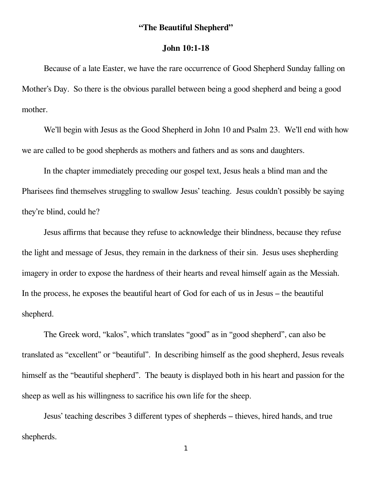## **"The Beautiful Shepherd"**

## **John 10:1-18**

Because of a late Easter, we have the rare occurrence of Good Shepherd Sunday falling on Mother's Day. So there is the obvious parallel between being a good shepherd and being a good mother.

We'll begin with Jesus as the Good Shepherd in John 10 and Psalm 23. We'll end with how we are called to be good shepherds as mothers and fathers and as sons and daughters.

In the chapter immediately preceding our gospel text, Jesus heals a blind man and the Pharisees find themselves struggling to swallow Jesus' teaching. Jesus couldn't possibly be saying they're blind, could he?

Jesus affirms that because they refuse to acknowledge their blindness, because they refuse the light and message of Jesus, they remain in the darkness of their sin. Jesus uses shepherding imagery in order to expose the hardness of their hearts and reveal himself again as the Messiah. In the process, he exposes the beautiful heart of God for each of us in Jesus – the beautiful shepherd.

The Greek word, "kalos", which translates "good" as in "good shepherd", can also be translated as "excellent" or "beautiful". In describing himself as the good shepherd, Jesus reveals himself as the "beautiful shepherd". The beauty is displayed both in his heart and passion for the sheep as well as his willingness to sacrifice his own life for the sheep.

Jesus' teaching describes 3 different types of shepherds – thieves, hired hands, and true shepherds.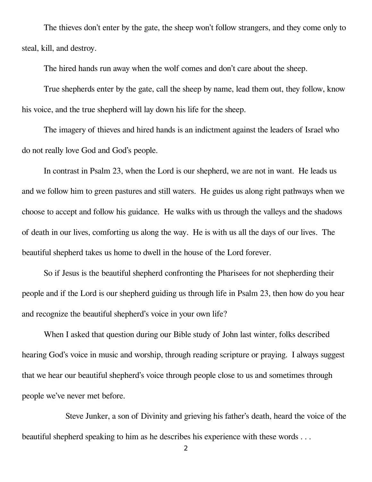The thieves don't enter by the gate, the sheep won't follow strangers, and they come only to steal, kill, and destroy.

The hired hands run away when the wolf comes and don't care about the sheep.

True shepherds enter by the gate, call the sheep by name, lead them out, they follow, know his voice, and the true shepherd will lay down his life for the sheep.

The imagery of thieves and hired hands is an indictment against the leaders of Israel who do not really love God and God's people.

In contrast in Psalm 23, when the Lord is our shepherd, we are not in want. He leads us and we follow him to green pastures and still waters. He guides us along right pathways when we choose to accept and follow his guidance. He walks with us through the valleys and the shadows of death in our lives, comforting us along the way. He is with us all the days of our lives. The beautiful shepherd takes us home to dwell in the house of the Lord forever.

So if Jesus is the beautiful shepherd confronting the Pharisees for not shepherding their people and if the Lord is our shepherd guiding us through life in Psalm 23, then how do you hear and recognize the beautiful shepherd's voice in your own life?

When I asked that question during our Bible study of John last winter, folks described hearing God's voice in music and worship, through reading scripture or praying. I always suggest that we hear our beautiful shepherd's voice through people close to us and sometimes through people we've never met before.

Steve Junker, a son of Divinity and grieving his father's death, heard the voice of the beautiful shepherd speaking to him as he describes his experience with these words . . .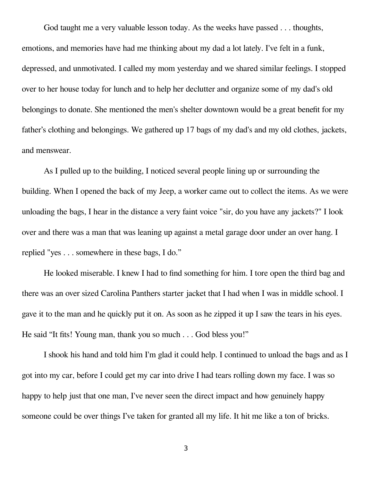God taught me a very valuable lesson today. As the weeks have passed . . . thoughts, emotions, and memories have had me thinking about my dad a lot lately. I've felt in a funk, depressed, and unmotivated. I called my mom yesterday and we shared similar feelings. I stopped over to her house today for lunch and to help her declutter and organize some of my dad's old belongings to donate. She mentioned the men's shelter downtown would be a great benefit for my father's clothing and belongings. We gathered up 17 bags of my dad's and my old clothes, jackets, and menswear.

As I pulled up to the building, I noticed several people lining up or surrounding the building. When I opened the back of my Jeep, a worker came out to collect the items. As we were unloading the bags, I hear in the distance a very faint voice "sir, do you have any jackets?" I look over and there was a man that was leaning up against a metal garage door under an over hang. I replied "yes . . . somewhere in these bags, I do."

He looked miserable. I knew I had to find something for him. I tore open the third bag and there was an over sized Carolina Panthers starter jacket that I had when I was in middle school. I gave it to the man and he quickly put it on. As soon as he zipped it up I saw the tears in his eyes. He said "It fits! Young man, thank you so much . . . God bless you!"

I shook his hand and told him I'm glad it could help. I continued to unload the bags and as I got into my car, before I could get my car into drive I had tears rolling down my face. I was so happy to help just that one man, I've never seen the direct impact and how genuinely happy someone could be over things I've taken for granted all my life. It hit me like a ton of bricks.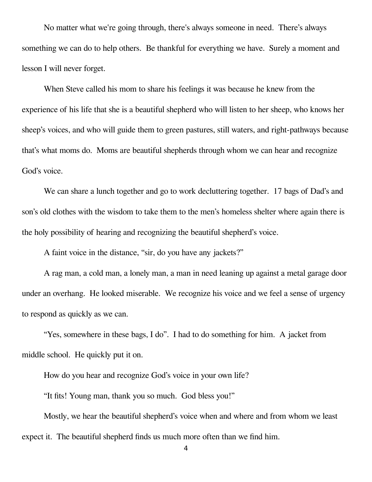No matter what we're going through, there's always someone in need. There's always something we can do to help others. Be thankful for everything we have. Surely a moment and lesson I will never forget.

When Steve called his mom to share his feelings it was because he knew from the experience of his life that she is a beautiful shepherd who will listen to her sheep, who knows her sheep's voices, and who will guide them to green pastures, still waters, and right-pathways because that's what moms do. Moms are beautiful shepherds through whom we can hear and recognize God's voice.

We can share a lunch together and go to work decluttering together. 17 bags of Dad's and son's old clothes with the wisdom to take them to the men's homeless shelter where again there is the holy possibility of hearing and recognizing the beautiful shepherd's voice.

A faint voice in the distance, "sir, do you have any jackets?"

A rag man, a cold man, a lonely man, a man in need leaning up against a metal garage door under an overhang. He looked miserable. We recognize his voice and we feel a sense of urgency to respond as quickly as we can.

"Yes, somewhere in these bags, I do". I had to do something for him. A jacket from middle school. He quickly put it on.

How do you hear and recognize God's voice in your own life?

"It fits! Young man, thank you so much. God bless you!"

Mostly, we hear the beautiful shepherd's voice when and where and from whom we least expect it. The beautiful shepherd finds us much more often than we find him.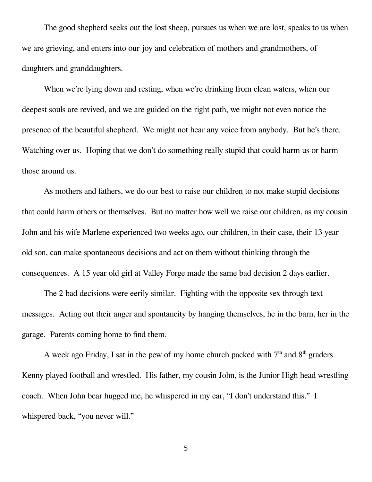The good shepherd seeks out the lost sheep, pursues us when we are lost, speaks to us when we are grieving, and enters into our joy and celebration of mothers and grandmothers, of daughters and granddaughters.

When we're lying down and resting, when we're drinking from clean waters, when our deepest souls are revived, and we are guided on the right path, we might not even notice the presence of the beautiful shepherd. We might not hear any voice from anybody. But he's there. Watching over us. Hoping that we don't do something really stupid that could harm us or harm those around us.

As mothers and fathers, we do our best to raise our children to not make stupid decisions that could harm others or themselves. But no matter how well we raise our children, as my cousin John and his wife Marlene experienced two weeks ago, our children, in their case, their 13 year old son, can make spontaneous decisions and act on them without thinking through the consequences. A 15 year old girl at Valley Forge made the same bad decision 2 days earlier.

The 2 bad decisions were eerily similar. Fighting with the opposite sex through text messages. Acting out their anger and spontaneity by hanging themselves, he in the barn, her in the garage. Parents coming home to find them.

A week ago Friday, I sat in the pew of my home church packed with  $7<sup>th</sup>$  and  $8<sup>th</sup>$  graders. Kenny played football and wrestled. His father, my cousin John, is the Junior High head wrestling coach. When John bear hugged me, he whispered in my ear, "I don't understand this." I whispered back, "you never will."